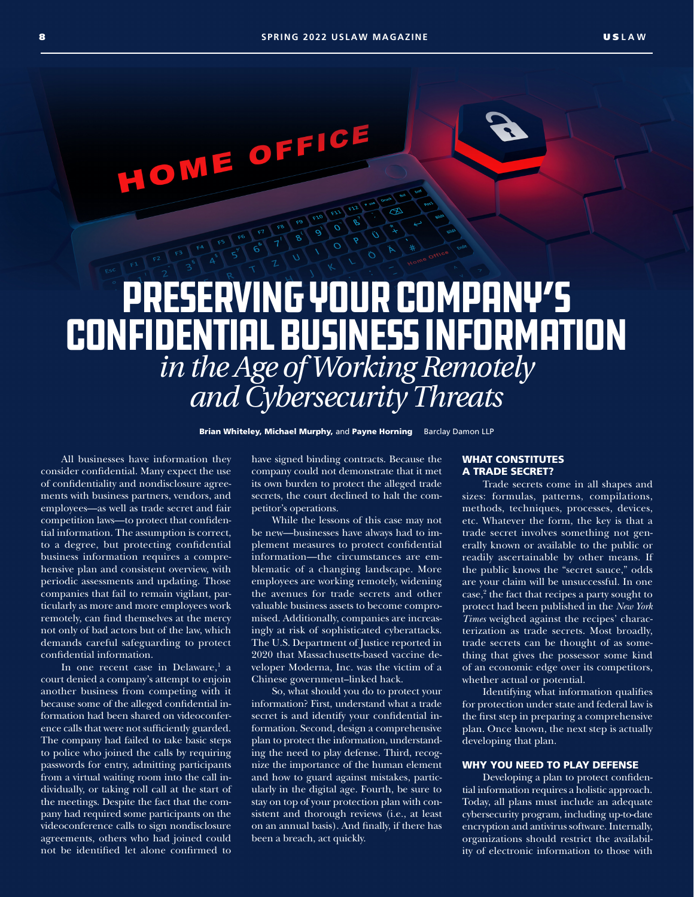HOME OFFICE

# Preserving Your Company's Confidential Business Information *in the Age of Working Remotely and Cybersecurity Threats*

Brian Whiteley, Michael Murphy, and Payne Horning Barclay Damon LLP

All businesses have information they consider confidential. Many expect the use of confidentiality and nondisclosure agreements with business partners, vendors, and employees—as well as trade secret and fair competition laws—to protect that confidential information. The assumption is correct, to a degree, but protecting confidential business information requires a comprehensive plan and consistent overview, with periodic assessments and updating. Those companies that fail to remain vigilant, particularly as more and more employees work remotely, can find themselves at the mercy not only of bad actors but of the law, which demands careful safeguarding to protect confidential information.

In one recent case in Delaware,<sup>1</sup> a court denied a company's attempt to enjoin another business from competing with it because some of the alleged confidential information had been shared on videoconference calls that were not sufficiently guarded. The company had failed to take basic steps to police who joined the calls by requiring passwords for entry, admitting participants from a virtual waiting room into the call individually, or taking roll call at the start of the meetings. Despite the fact that the company had required some participants on the videoconference calls to sign nondisclosure agreements, others who had joined could not be identified let alone confirmed to

have signed binding contracts. Because the company could not demonstrate that it met its own burden to protect the alleged trade secrets, the court declined to halt the competitor's operations.

While the lessons of this case may not be new—businesses have always had to implement measures to protect confidential information—the circumstances are emblematic of a changing landscape. More employees are working remotely, widening the avenues for trade secrets and other valuable business assets to become compromised. Additionally, companies are increasingly at risk of sophisticated cyberattacks. The U.S. Department of Justice reported in 2020 that Massachusetts-based vaccine developer Moderna, Inc. was the victim of a Chinese government–linked hack.

So, what should you do to protect your information? First, understand what a trade secret is and identify your confidential information. Second, design a comprehensive plan to protect the information, understanding the need to play defense. Third, recognize the importance of the human element and how to guard against mistakes, particularly in the digital age. Fourth, be sure to stay on top of your protection plan with consistent and thorough reviews (i.e., at least on an annual basis). And finally, if there has been a breach, act quickly.

#### WHAT CONSTITUTES A TRADE SECRET?

Trade secrets come in all shapes and sizes: formulas, patterns, compilations, methods, techniques, processes, devices, etc. Whatever the form, the key is that a trade secret involves something not generally known or available to the public or readily ascertainable by other means. If the public knows the "secret sauce," odds are your claim will be unsuccessful. In one case,<sup>2</sup> the fact that recipes a party sought to protect had been published in the *New York Times* weighed against the recipes' characterization as trade secrets. Most broadly, trade secrets can be thought of as something that gives the possessor some kind of an economic edge over its competitors, whether actual or potential.

Identifying what information qualifies for protection under state and federal law is the first step in preparing a comprehensive plan. Once known, the next step is actually developing that plan.

## WHY YOU NEED TO PLAY DEFENSE

Developing a plan to protect confidential information requires a holistic approach. Today, all plans must include an adequate cybersecurity program, including up-to-date encryption and antivirus software. Internally, organizations should restrict the availability of electronic information to those with